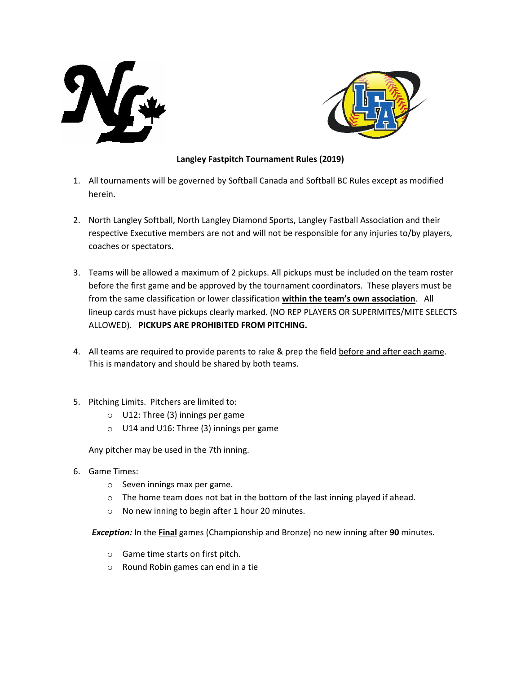



## **Langley Fastpitch Tournament Rules (2019)**

- 1. All tournaments will be governed by Softball Canada and Softball BC Rules except as modified herein.
- 2. North Langley Softball, North Langley Diamond Sports, Langley Fastball Association and their respective Executive members are not and will not be responsible for any injuries to/by players, coaches or spectators.
- 3. Teams will be allowed a maximum of 2 pickups. All pickups must be included on the team roster before the first game and be approved by the tournament coordinators. These players must be from the same classification or lower classification **within the team's own association**. All lineup cards must have pickups clearly marked. (NO REP PLAYERS OR SUPERMITES/MITE SELECTS ALLOWED). **PICKUPS ARE PROHIBITED FROM PITCHING.**
- 4. All teams are required to provide parents to rake & prep the field before and after each game. This is mandatory and should be shared by both teams.
- 5. Pitching Limits. Pitchers are limited to:
	- o U12: Three (3) innings per game
	- o U14 and U16: Three (3) innings per game

Any pitcher may be used in the 7th inning.

- 6. Game Times:
	- o Seven innings max per game.
	- o The home team does not bat in the bottom of the last inning played if ahead.
	- o No new inning to begin after 1 hour 20 minutes.

*Exception:* In the **Final** games (Championship and Bronze) no new inning after **90** minutes.

- o Game time starts on first pitch.
- o Round Robin games can end in a tie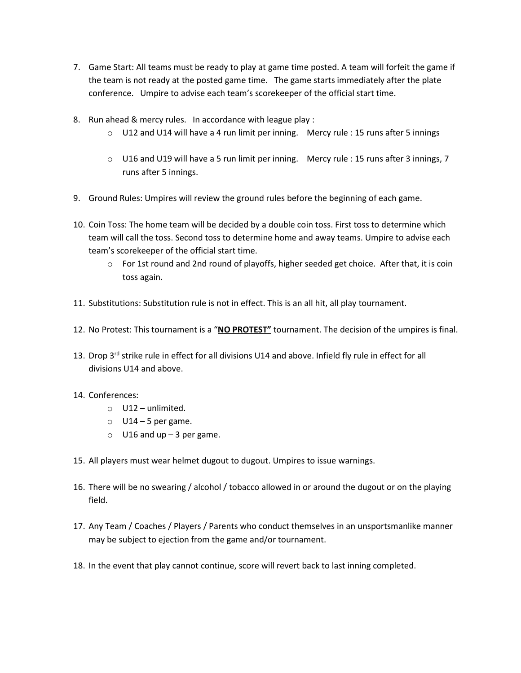- 7. Game Start: All teams must be ready to play at game time posted. A team will forfeit the game if the team is not ready at the posted game time. The game starts immediately after the plate conference. Umpire to advise each team's scorekeeper of the official start time.
- 8. Run ahead & mercy rules. In accordance with league play :
	- $\circ$  U12 and U14 will have a 4 run limit per inning. Mercy rule : 15 runs after 5 innings
	- o U16 and U19 will have a 5 run limit per inning. Mercy rule : 15 runs after 3 innings, 7 runs after 5 innings.
- 9. Ground Rules: Umpires will review the ground rules before the beginning of each game.
- 10. Coin Toss: The home team will be decided by a double coin toss. First toss to determine which team will call the toss. Second toss to determine home and away teams. Umpire to advise each team's scorekeeper of the official start time.
	- o For 1st round and 2nd round of playoffs, higher seeded get choice. After that, it is coin toss again.
- 11. Substitutions: Substitution rule is not in effect. This is an all hit, all play tournament.
- 12. No Protest: This tournament is a "**NO PROTEST"** tournament. The decision of the umpires is final.
- 13. Drop  $3^{rd}$  strike rule in effect for all divisions U14 and above. Infield fly rule in effect for all divisions U14 and above.

## 14. Conferences:

- o U12 unlimited.
- $\circ$  U14 5 per game.
- $\circ$  U16 and up 3 per game.
- 15. All players must wear helmet dugout to dugout. Umpires to issue warnings.
- 16. There will be no swearing / alcohol / tobacco allowed in or around the dugout or on the playing field.
- 17. Any Team / Coaches / Players / Parents who conduct themselves in an unsportsmanlike manner may be subject to ejection from the game and/or tournament.
- 18. In the event that play cannot continue, score will revert back to last inning completed.